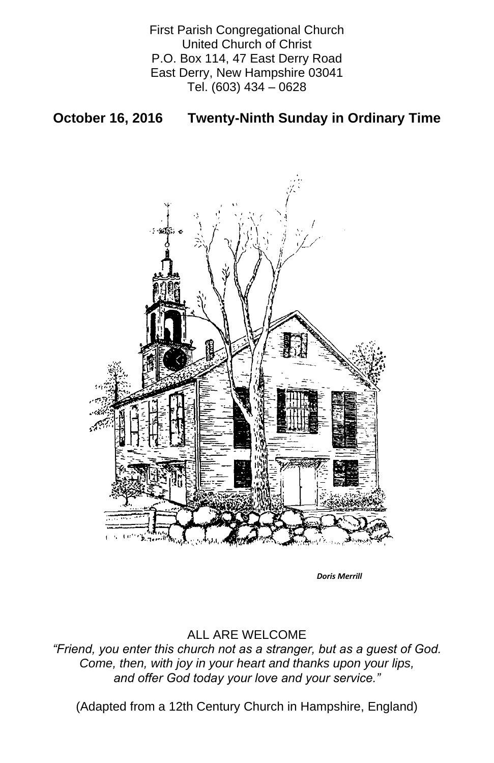First Parish Congregational Church United Church of Christ P.O. Box 114, 47 East Derry Road East Derry, New Hampshire 03041 Tel. (603) 434 – 0628

# **October 16, 2016 Twenty-Ninth Sunday in Ordinary Time**



### ALL ARE WELCOME

*"Friend, you enter this church not as a stranger, but as a guest of God. Come, then, with joy in your heart and thanks upon your lips, and offer God today your love and your service."*

(Adapted from a 12th Century Church in Hampshire, England)

*Doris Merrill*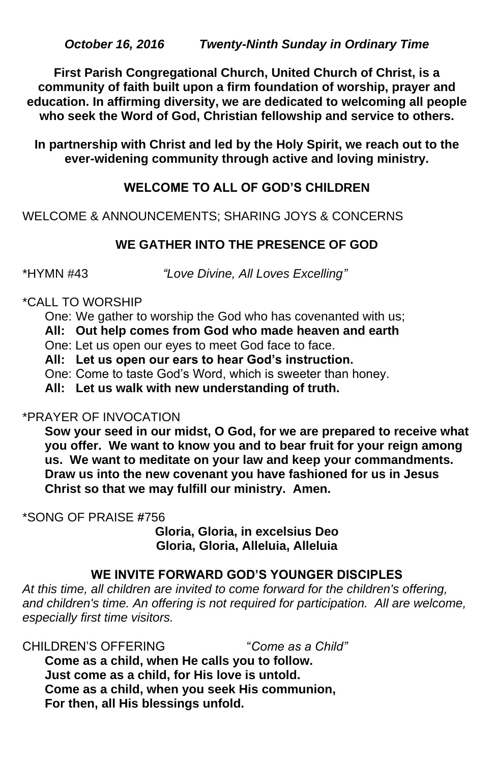*October 16, 2016 Twenty-Ninth Sunday in Ordinary Time*

**First Parish Congregational Church, United Church of Christ, is a community of faith built upon a firm foundation of worship, prayer and education. In affirming diversity, we are dedicated to welcoming all people who seek the Word of God, Christian fellowship and service to others.**

**In partnership with Christ and led by the Holy Spirit, we reach out to the ever-widening community through active and loving ministry.**

# **WELCOME TO ALL OF GOD'S CHILDREN**

WELCOME & ANNOUNCEMENTS; SHARING JOYS & CONCERNS

## **WE GATHER INTO THE PRESENCE OF GOD**

\*HYMN #43 *"Love Divine, All Loves Excelling"*

#### \*CALL TO WORSHIP

One: We gather to worship the God who has covenanted with us;

**All: Out help comes from God who made heaven and earth**

One: Let us open our eyes to meet God face to face.

**All: Let us open our ears to hear God's instruction.**

One: Come to taste God's Word, which is sweeter than honey.

**All: Let us walk with new understanding of truth.**

## \*PRAYER OF INVOCATION

**Sow your seed in our midst, O God, for we are prepared to receive what you offer. We want to know you and to bear fruit for your reign among us. We want to meditate on your law and keep your commandments. Draw us into the new covenant you have fashioned for us in Jesus Christ so that we may fulfill our ministry. Amen.**

\*SONG OF PRAISE **#**756

**Gloria, Gloria, in excelsius Deo Gloria, Gloria, Alleluia, Alleluia**

## **WE INVITE FORWARD GOD'S YOUNGER DISCIPLES**

*At this time, all children are invited to come forward for the children's offering,*  and children's time. An offering is not required for participation. All are welcome, *especially first time visitors.*

CHILDREN'S OFFERING "*Come as a Child"* **Come as a child, when He calls you to follow. Just come as a child, for His love is untold. Come as a child, when you seek His communion, For then, all His blessings unfold.**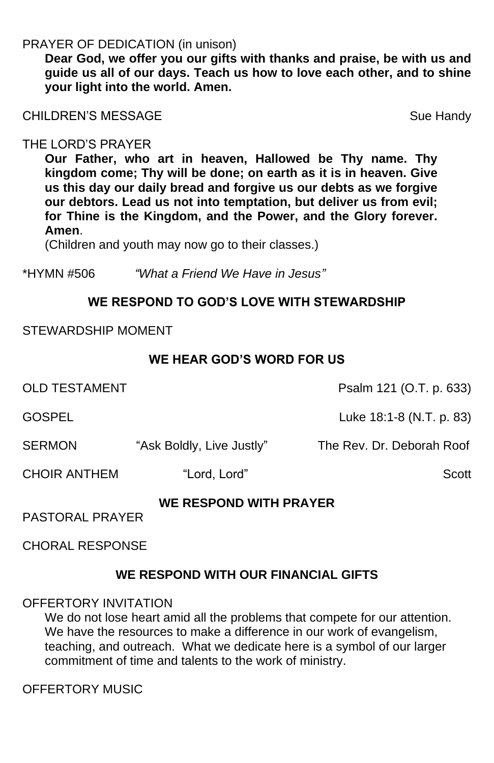## PRAYER OF DEDICATION (in unison)

**Dear God, we offer you our gifts with thanks and praise, be with us and guide us all of our days. Teach us how to love each other, and to shine your light into the world. Amen.**

CHILDREN'S MESSAGE Sue Handy

## THE LORD'S PRAYER

**Our Father, who art in heaven, Hallowed be Thy name. Thy kingdom come; Thy will be done; on earth as it is in heaven. Give us this day our daily bread and forgive us our debts as we forgive our debtors. Lead us not into temptation, but deliver us from evil; for Thine is the Kingdom, and the Power, and the Glory forever. Amen**.

OLD TESTAMENT Psalm 121 (O.T. p. 633) GOSPEL Luke 18:1-8 (N.T. p. 83) SERMON "Ask Boldly, Live Justly" The Rev. Dr. Deborah Roof CHOIR ANTHEM "Lord, Lord" Scott **WE RESPOND WITH PRAYER** PASTORAL PRAYER CHORAL RESPONSE

(Children and youth may now go to their classes.)

\*HYMN #506 *"What a Friend We Have in Jesus"*

# **WE RESPOND TO GOD'S LOVE WITH STEWARDSHIP**

#### STEWARDSHIP MOMENT

## **WE HEAR GOD'S WORD FOR US**

#### **WE RESPOND WITH OUR FINANCIAL GIFTS**

#### OFFERTORY INVITATION

We do not lose heart amid all the problems that compete for our attention. We have the resources to make a difference in our work of evangelism, teaching, and outreach. What we dedicate here is a symbol of our larger commitment of time and talents to the work of ministry.

OFFERTORY MUSIC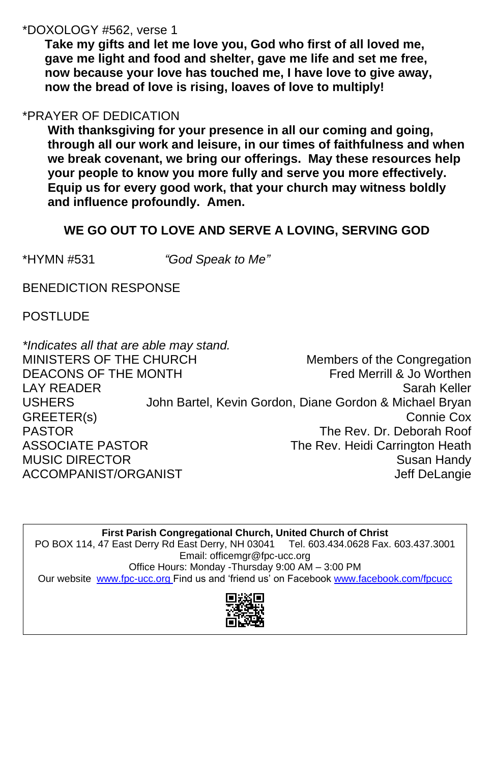## \*DOXOLOGY #562, verse 1

**Take my gifts and let me love you, God who first of all loved me, gave me light and food and shelter, gave me life and set me free, now because your love has touched me, I have love to give away, now the bread of love is rising, loaves of love to multiply!**

# \*PRAYER OF DEDICATION

**With thanksgiving for your presence in all our coming and going, through all our work and leisure, in our times of faithfulness and when we break covenant, we bring our offerings. May these resources help your people to know you more fully and serve you more effectively. Equip us for every good work, that your church may witness boldly and influence profoundly. Amen.**

Office Hours: Monday -Thursday 9:00 AM – 3:00 PM Our website [www.fpc-ucc.org](http://www.fpc-ucc.org/) Find us and 'friend us' on Facebook [www.facebook.com/fpcucc](http://www.facebook.com/fpcucc)

# **WE GO OUT TO LOVE AND SERVE A LOVING, SERVING GOD**

\*HYMN #531 *"God Speak to Me"*

BENEDICTION RESPONSE

POSTLUDE

| *Indicates all that are able may stand. |                                                         |
|-----------------------------------------|---------------------------------------------------------|
| MINISTERS OF THE CHURCH                 | Members of the Congregation                             |
| <b>DEACONS OF THE MONTH</b>             | Fred Merrill & Jo Worthen                               |
| <b>LAY READER</b>                       | <b>Sarah Keller</b>                                     |
| <b>USHERS</b>                           | John Bartel, Kevin Gordon, Diane Gordon & Michael Bryan |
| GREETER(s)                              | <b>Connie Cox</b>                                       |
| <b>PASTOR</b>                           | The Rev. Dr. Deborah Roof                               |
| <b>ASSOCIATE PASTOR</b>                 | The Rev. Heidi Carrington Heath                         |
| <b>MUSIC DIRECTOR</b>                   | <b>Susan Handy</b>                                      |
| ACCOMPANIST/ORGANIST                    | <b>Jeff DeLangie</b>                                    |